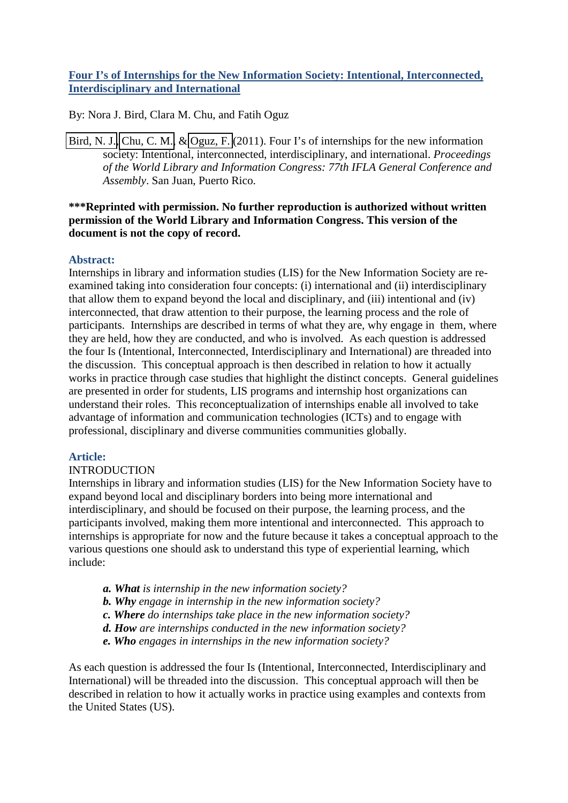# **Four I's of Internships for the New Information Society: Intentional, Interconnected, Interdisciplinary and International**

By: Nora J. Bird, Clara M. Chu, and Fatih Oguz

[Bird, N. J.,](http://libres.uncg.edu/ir/clist.aspx?id=1151) [Chu, C. M.,](http://libres.uncg.edu/ir/clist.aspx?id=2864) & [Oguz, F.](http://libres.uncg.edu/ir/clist.aspx?id=4311) (2011). Four I's of internships for the new information society: Intentional, interconnected, interdisciplinary, and international. *Proceedings of the World Library and Information Congress: 77th IFLA General Conference and Assembly*. San Juan, Puerto Rico.

# **\*\*\*Reprinted with permission. No further reproduction is authorized without written permission of the World Library and Information Congress. This version of the document is not the copy of record.**

# **Abstract:**

Internships in library and information studies (LIS) for the New Information Society are reexamined taking into consideration four concepts: (i) international and (ii) interdisciplinary that allow them to expand beyond the local and disciplinary, and (iii) intentional and (iv) interconnected, that draw attention to their purpose, the learning process and the role of participants. Internships are described in terms of what they are, why engage in them, where they are held, how they are conducted, and who is involved. As each question is addressed the four Is (Intentional, Interconnected, Interdisciplinary and International) are threaded into the discussion. This conceptual approach is then described in relation to how it actually works in practice through case studies that highlight the distinct concepts. General guidelines are presented in order for students, LIS programs and internship host organizations can understand their roles. This reconceptualization of internships enable all involved to take advantage of information and communication technologies (ICTs) and to engage with professional, disciplinary and diverse communities communities globally.

### **Article:**

### INTRODUCTION

Internships in library and information studies (LIS) for the New Information Society have to expand beyond local and disciplinary borders into being more international and interdisciplinary, and should be focused on their purpose, the learning process, and the participants involved, making them more intentional and interconnected. This approach to internships is appropriate for now and the future because it takes a conceptual approach to the various questions one should ask to understand this type of experiential learning, which include:

- *a. What is internship in the new information society?*
- *b. Why engage in internship in the new information society?*
- *c. Where do internships take place in the new information society?*
- *d. How are internships conducted in the new information society?*
- *e. Who engages in internships in the new information society?*

As each question is addressed the four Is (Intentional, Interconnected, Interdisciplinary and International) will be threaded into the discussion. This conceptual approach will then be described in relation to how it actually works in practice using examples and contexts from the United States (US).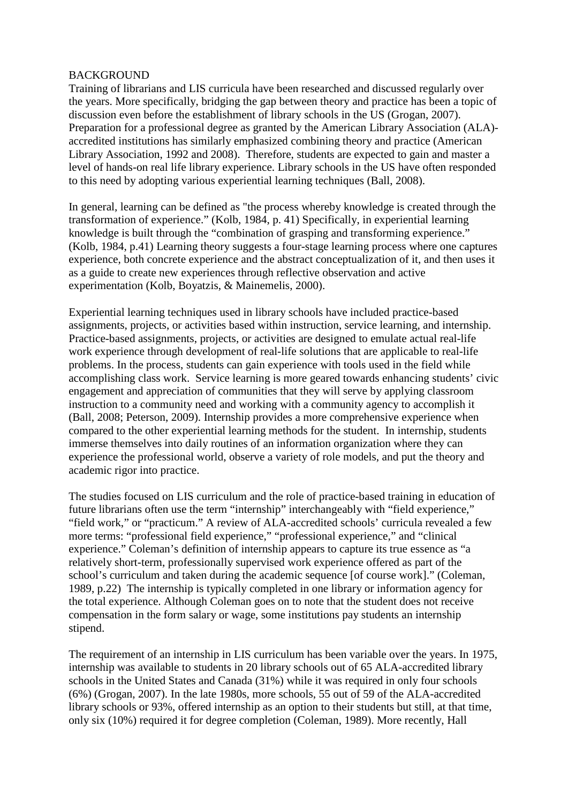#### BACKGROUND

Training of librarians and LIS curricula have been researched and discussed regularly over the years. More specifically, bridging the gap between theory and practice has been a topic of discussion even before the establishment of library schools in the US (Grogan, 2007). Preparation for a professional degree as granted by the American Library Association (ALA) accredited institutions has similarly emphasized combining theory and practice (American Library Association, 1992 and 2008). Therefore, students are expected to gain and master a level of hands-on real life library experience. Library schools in the US have often responded to this need by adopting various experiential learning techniques (Ball, 2008).

In general, learning can be defined as "the process whereby knowledge is created through the transformation of experience." (Kolb, 1984, p. 41) Specifically, in experiential learning knowledge is built through the "combination of grasping and transforming experience." (Kolb, 1984, p.41) Learning theory suggests a four-stage learning process where one captures experience, both concrete experience and the abstract conceptualization of it, and then uses it as a guide to create new experiences through reflective observation and active experimentation (Kolb, Boyatzis, & Mainemelis, 2000).

Experiential learning techniques used in library schools have included practice-based assignments, projects, or activities based within instruction, service learning, and internship. Practice-based assignments, projects, or activities are designed to emulate actual real-life work experience through development of real-life solutions that are applicable to real-life problems. In the process, students can gain experience with tools used in the field while accomplishing class work. Service learning is more geared towards enhancing students' civic engagement and appreciation of communities that they will serve by applying classroom instruction to a community need and working with a community agency to accomplish it (Ball, 2008; Peterson, 2009). Internship provides a more comprehensive experience when compared to the other experiential learning methods for the student. In internship, students immerse themselves into daily routines of an information organization where they can experience the professional world, observe a variety of role models, and put the theory and academic rigor into practice.

The studies focused on LIS curriculum and the role of practice-based training in education of future librarians often use the term "internship" interchangeably with "field experience," "field work," or "practicum." A review of ALA-accredited schools' curricula revealed a few more terms: "professional field experience," "professional experience," and "clinical experience." Coleman's definition of internship appears to capture its true essence as "a relatively short-term, professionally supervised work experience offered as part of the school's curriculum and taken during the academic sequence [of course work]." (Coleman, 1989, p.22) The internship is typically completed in one library or information agency for the total experience. Although Coleman goes on to note that the student does not receive compensation in the form salary or wage, some institutions pay students an internship stipend.

The requirement of an internship in LIS curriculum has been variable over the years. In 1975, internship was available to students in 20 library schools out of 65 ALA-accredited library schools in the United States and Canada (31%) while it was required in only four schools (6%) (Grogan, 2007). In the late 1980s, more schools, 55 out of 59 of the ALA-accredited library schools or 93%, offered internship as an option to their students but still, at that time, only six (10%) required it for degree completion (Coleman, 1989). More recently, Hall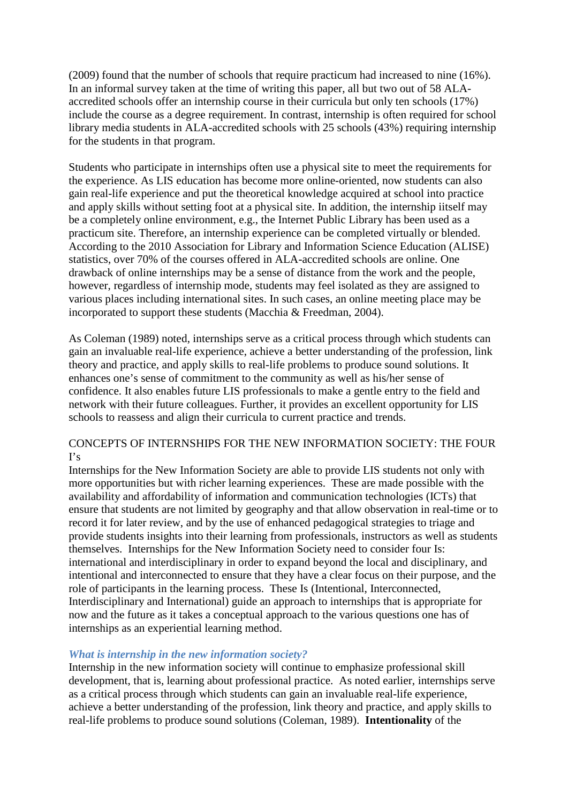(2009) found that the number of schools that require practicum had increased to nine (16%). In an informal survey taken at the time of writing this paper, all but two out of 58 ALAaccredited schools offer an internship course in their curricula but only ten schools (17%) include the course as a degree requirement. In contrast, internship is often required for school library media students in ALA-accredited schools with 25 schools (43%) requiring internship for the students in that program.

Students who participate in internships often use a physical site to meet the requirements for the experience. As LIS education has become more online-oriented, now students can also gain real-life experience and put the theoretical knowledge acquired at school into practice and apply skills without setting foot at a physical site. In addition, the internship iitself may be a completely online environment, e.g., the Internet Public Library has been used as a practicum site. Therefore, an internship experience can be completed virtually or blended. According to the 2010 Association for Library and Information Science Education (ALISE) statistics, over 70% of the courses offered in ALA-accredited schools are online. One drawback of online internships may be a sense of distance from the work and the people, however, regardless of internship mode, students may feel isolated as they are assigned to various places including international sites. In such cases, an online meeting place may be incorporated to support these students (Macchia & Freedman, 2004).

As Coleman (1989) noted, internships serve as a critical process through which students can gain an invaluable real-life experience, achieve a better understanding of the profession, link theory and practice, and apply skills to real-life problems to produce sound solutions. It enhances one's sense of commitment to the community as well as his/her sense of confidence. It also enables future LIS professionals to make a gentle entry to the field and network with their future colleagues. Further, it provides an excellent opportunity for LIS schools to reassess and align their curricula to current practice and trends.

# CONCEPTS OF INTERNSHIPS FOR THE NEW INFORMATION SOCIETY: THE FOUR  $\mathbf{I}'\mathbf{s}$

Internships for the New Information Society are able to provide LIS students not only with more opportunities but with richer learning experiences. These are made possible with the availability and affordability of information and communication technologies (ICTs) that ensure that students are not limited by geography and that allow observation in real-time or to record it for later review, and by the use of enhanced pedagogical strategies to triage and provide students insights into their learning from professionals, instructors as well as students themselves. Internships for the New Information Society need to consider four Is: international and interdisciplinary in order to expand beyond the local and disciplinary, and intentional and interconnected to ensure that they have a clear focus on their purpose, and the role of participants in the learning process. These Is (Intentional, Interconnected, Interdisciplinary and International) guide an approach to internships that is appropriate for now and the future as it takes a conceptual approach to the various questions one has of internships as an experiential learning method.

### *What is internship in the new information society?*

Internship in the new information society will continue to emphasize professional skill development, that is, learning about professional practice. As noted earlier, internships serve as a critical process through which students can gain an invaluable real-life experience, achieve a better understanding of the profession, link theory and practice, and apply skills to real-life problems to produce sound solutions (Coleman, 1989). **Intentionality** of the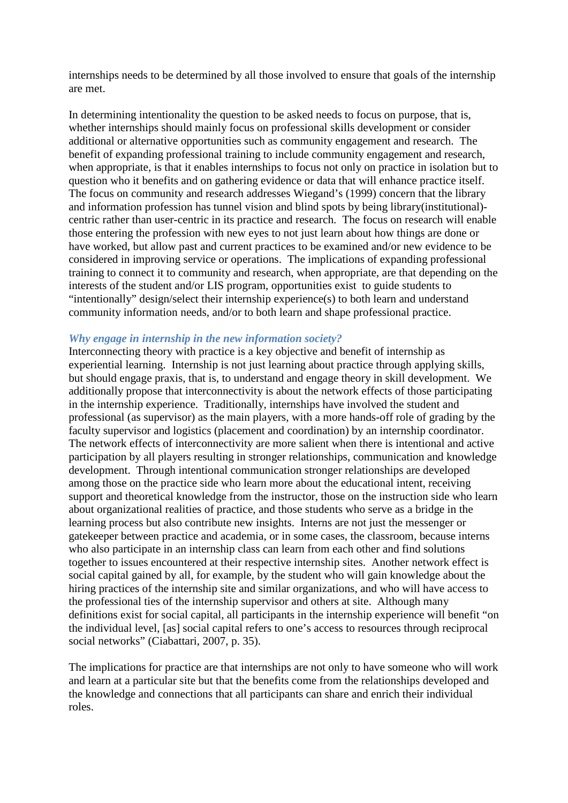internships needs to be determined by all those involved to ensure that goals of the internship are met.

In determining intentionality the question to be asked needs to focus on purpose, that is, whether internships should mainly focus on professional skills development or consider additional or alternative opportunities such as community engagement and research. The benefit of expanding professional training to include community engagement and research, when appropriate, is that it enables internships to focus not only on practice in isolation but to question who it benefits and on gathering evidence or data that will enhance practice itself. The focus on community and research addresses Wiegand's (1999) concern that the library and information profession has tunnel vision and blind spots by being library(institutional) centric rather than user-centric in its practice and research. The focus on research will enable those entering the profession with new eyes to not just learn about how things are done or have worked, but allow past and current practices to be examined and/or new evidence to be considered in improving service or operations. The implications of expanding professional training to connect it to community and research, when appropriate, are that depending on the interests of the student and/or LIS program, opportunities exist to guide students to "intentionally" design/select their internship experience(s) to both learn and understand community information needs, and/or to both learn and shape professional practice.

# *Why engage in internship in the new information society?*

Interconnecting theory with practice is a key objective and benefit of internship as experiential learning. Internship is not just learning about practice through applying skills, but should engage praxis, that is, to understand and engage theory in skill development. We additionally propose that interconnectivity is about the network effects of those participating in the internship experience. Traditionally, internships have involved the student and professional (as supervisor) as the main players, with a more hands-off role of grading by the faculty supervisor and logistics (placement and coordination) by an internship coordinator. The network effects of interconnectivity are more salient when there is intentional and active participation by all players resulting in stronger relationships, communication and knowledge development. Through intentional communication stronger relationships are developed among those on the practice side who learn more about the educational intent, receiving support and theoretical knowledge from the instructor, those on the instruction side who learn about organizational realities of practice, and those students who serve as a bridge in the learning process but also contribute new insights. Interns are not just the messenger or gatekeeper between practice and academia, or in some cases, the classroom, because interns who also participate in an internship class can learn from each other and find solutions together to issues encountered at their respective internship sites. Another network effect is social capital gained by all, for example, by the student who will gain knowledge about the hiring practices of the internship site and similar organizations, and who will have access to the professional ties of the internship supervisor and others at site. Although many definitions exist for social capital, all participants in the internship experience will benefit "on the individual level, [as] social capital refers to one's access to resources through reciprocal social networks" (Ciabattari, 2007, p. 35).

The implications for practice are that internships are not only to have someone who will work and learn at a particular site but that the benefits come from the relationships developed and the knowledge and connections that all participants can share and enrich their individual roles.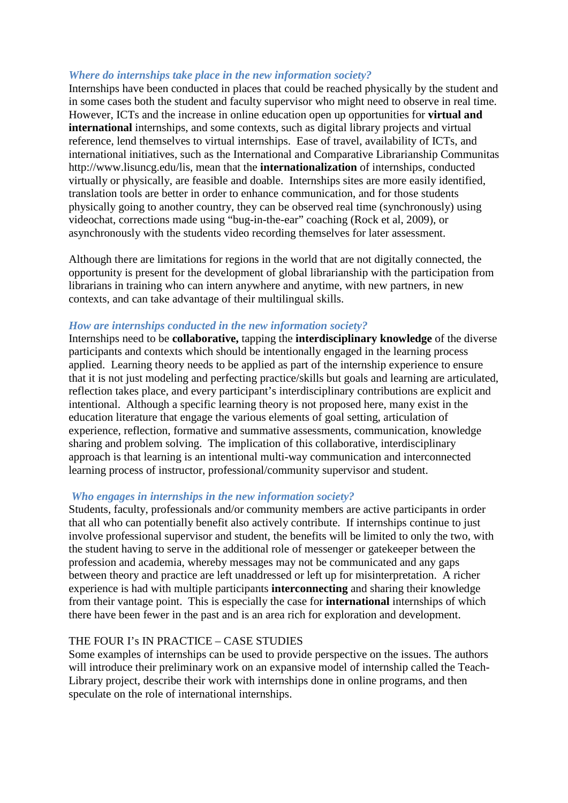### *Where do internships take place in the new information society?*

Internships have been conducted in places that could be reached physically by the student and in some cases both the student and faculty supervisor who might need to observe in real time. However, ICTs and the increase in online education open up opportunities for **virtual and international** internships, and some contexts, such as digital library projects and virtual reference, lend themselves to virtual internships. Ease of travel, availability of ICTs, and international initiatives, such as the International and Comparative Librarianship Communitas [http://www.lisuncg.e](http://www.lisuncg.edu/lis)d[u/lis,](http://www.lisuncg.edu/lis) mean that the **internationalization** of internships, conducted virtually or physically, are feasible and doable. Internships sites are more easily identified, translation tools are better in order to enhance communication, and for those students physically going to another country, they can be observed real time (synchronously) using videochat, corrections made using "bug-in-the-ear" coaching (Rock et al, 2009), or asynchronously with the students video recording themselves for later assessment.

Although there are limitations for regions in the world that are not digitally connected, the opportunity is present for the development of global librarianship with the participation from librarians in training who can intern anywhere and anytime, with new partners, in new contexts, and can take advantage of their multilingual skills.

#### *How are internships conducted in the new information society?*

Internships need to be **collaborative,** tapping the **interdisciplinary knowledge** of the diverse participants and contexts which should be intentionally engaged in the learning process applied. Learning theory needs to be applied as part of the internship experience to ensure that it is not just modeling and perfecting practice/skills but goals and learning are articulated, reflection takes place, and every participant's interdisciplinary contributions are explicit and intentional. Although a specific learning theory is not proposed here, many exist in the education literature that engage the various elements of goal setting, articulation of experience, reflection, formative and summative assessments, communication, knowledge sharing and problem solving. The implication of this collaborative, interdisciplinary approach is that learning is an intentional multi-way communication and interconnected learning process of instructor, professional/community supervisor and student.

#### *Who engages in internships in the new information society?*

Students, faculty, professionals and/or community members are active participants in order that all who can potentially benefit also actively contribute. If internships continue to just involve professional supervisor and student, the benefits will be limited to only the two, with the student having to serve in the additional role of messenger or gatekeeper between the profession and academia, whereby messages may not be communicated and any gaps between theory and practice are left unaddressed or left up for misinterpretation. A richer experience is had with multiple participants **interconnecting** and sharing their knowledge from their vantage point. This is especially the case for **international** internships of which there have been fewer in the past and is an area rich for exploration and development.

### THE FOUR I's IN PRACTICE – CASE STUDIES

Some examples of internships can be used to provide perspective on the issues. The authors will introduce their preliminary work on an expansive model of internship called the Teach-Library project, describe their work with internships done in online programs, and then speculate on the role of international internships.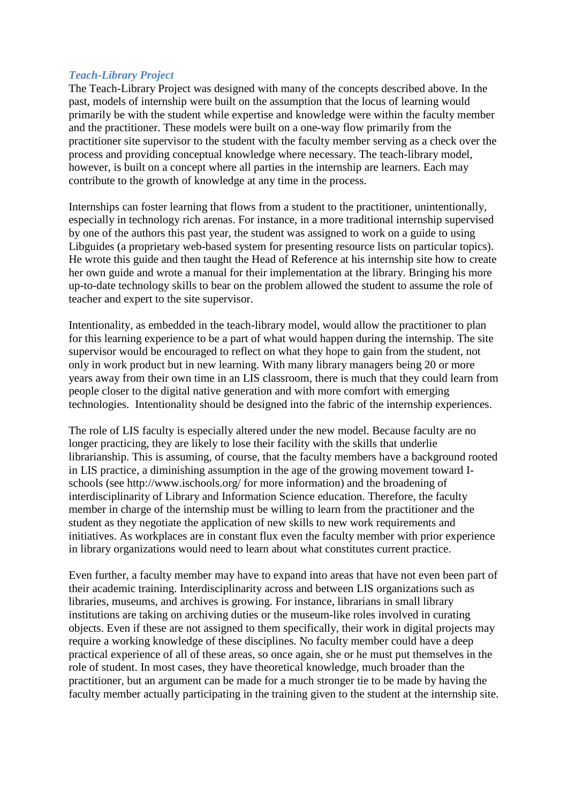#### *Teach-Library Project*

The Teach-Library Project was designed with many of the concepts described above. In the past, models of internship were built on the assumption that the locus of learning would primarily be with the student while expertise and knowledge were within the faculty member and the practitioner. These models were built on a one-way flow primarily from the practitioner site supervisor to the student with the faculty member serving as a check over the process and providing conceptual knowledge where necessary. The teach-library model, however, is built on a concept where all parties in the internship are learners. Each may contribute to the growth of knowledge at any time in the process.

Internships can foster learning that flows from a student to the practitioner, unintentionally, especially in technology rich arenas. For instance, in a more traditional internship supervised by one of the authors this past year, the student was assigned to work on a guide to using Libguides (a proprietary web-based system for presenting resource lists on particular topics). He wrote this guide and then taught the Head of Reference at his internship site how to create her own guide and wrote a manual for their implementation at the library. Bringing his more up-to-date technology skills to bear on the problem allowed the student to assume the role of teacher and expert to the site supervisor.

Intentionality, as embedded in the teach-library model, would allow the practitioner to plan for this learning experience to be a part of what would happen during the internship. The site supervisor would be encouraged to reflect on what they hope to gain from the student, not only in work product but in new learning. With many library managers being 20 or more years away from their own time in an LIS classroom, there is much that they could learn from people closer to the digital native generation and with more comfort with emerging technologies. Intentionality should be designed into the fabric of the internship experiences.

The role of LIS faculty is especially altered under the new model. Because faculty are no longer practicing, they are likely to lose their facility with the skills that underlie librarianship. This is assuming, of course, that the faculty members have a background rooted in LIS practice, a diminishing assumption in the age of the growing movement toward Ischools (see [http:](http://www.ischools.org/)/[/www.ischools.org/](http://www.ischools.org/) for more information) and the broadening of interdisciplinarity of Library and Information Science education. Therefore, the faculty member in charge of the internship must be willing to learn from the practitioner and the student as they negotiate the application of new skills to new work requirements and initiatives. As workplaces are in constant flux even the faculty member with prior experience in library organizations would need to learn about what constitutes current practice.

Even further, a faculty member may have to expand into areas that have not even been part of their academic training. Interdisciplinarity across and between LIS organizations such as libraries, museums, and archives is growing. For instance, librarians in small library institutions are taking on archiving duties or the museum-like roles involved in curating objects. Even if these are not assigned to them specifically, their work in digital projects may require a working knowledge of these disciplines. No faculty member could have a deep practical experience of all of these areas, so once again, she or he must put themselves in the role of student. In most cases, they have theoretical knowledge, much broader than the practitioner, but an argument can be made for a much stronger tie to be made by having the faculty member actually participating in the training given to the student at the internship site.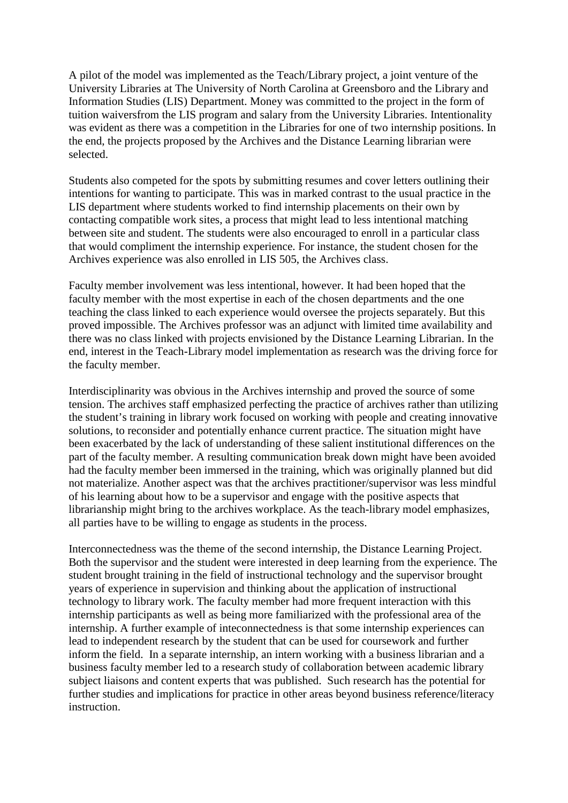A pilot of the model was implemented as the Teach/Library project, a joint venture of the University Libraries at The University of North Carolina at Greensboro and the Library and Information Studies (LIS) Department. Money was committed to the project in the form of tuition waiversfrom the LIS program and salary from the University Libraries. Intentionality was evident as there was a competition in the Libraries for one of two internship positions. In the end, the projects proposed by the Archives and the Distance Learning librarian were selected.

Students also competed for the spots by submitting resumes and cover letters outlining their intentions for wanting to participate. This was in marked contrast to the usual practice in the LIS department where students worked to find internship placements on their own by contacting compatible work sites, a process that might lead to less intentional matching between site and student. The students were also encouraged to enroll in a particular class that would compliment the internship experience. For instance, the student chosen for the Archives experience was also enrolled in LIS 505, the Archives class.

Faculty member involvement was less intentional, however. It had been hoped that the faculty member with the most expertise in each of the chosen departments and the one teaching the class linked to each experience would oversee the projects separately. But this proved impossible. The Archives professor was an adjunct with limited time availability and there was no class linked with projects envisioned by the Distance Learning Librarian. In the end, interest in the Teach-Library model implementation as research was the driving force for the faculty member.

Interdisciplinarity was obvious in the Archives internship and proved the source of some tension. The archives staff emphasized perfecting the practice of archives rather than utilizing the student's training in library work focused on working with people and creating innovative solutions, to reconsider and potentially enhance current practice. The situation might have been exacerbated by the lack of understanding of these salient institutional differences on the part of the faculty member. A resulting communication break down might have been avoided had the faculty member been immersed in the training, which was originally planned but did not materialize. Another aspect was that the archives practitioner/supervisor was less mindful of his learning about how to be a supervisor and engage with the positive aspects that librarianship might bring to the archives workplace. As the teach-library model emphasizes, all parties have to be willing to engage as students in the process.

Interconnectedness was the theme of the second internship, the Distance Learning Project. Both the supervisor and the student were interested in deep learning from the experience. The student brought training in the field of instructional technology and the supervisor brought years of experience in supervision and thinking about the application of instructional technology to library work. The faculty member had more frequent interaction with this internship participants as well as being more familiarized with the professional area of the internship. A further example of inteconnectedness is that some internship experiences can lead to independent research by the student that can be used for coursework and further inform the field. In a separate internship, an intern working with a business librarian and a business faculty member led to a research study of collaboration between academic library subject liaisons and content experts that was published. Such research has the potential for further studies and implications for practice in other areas beyond business reference/literacy instruction.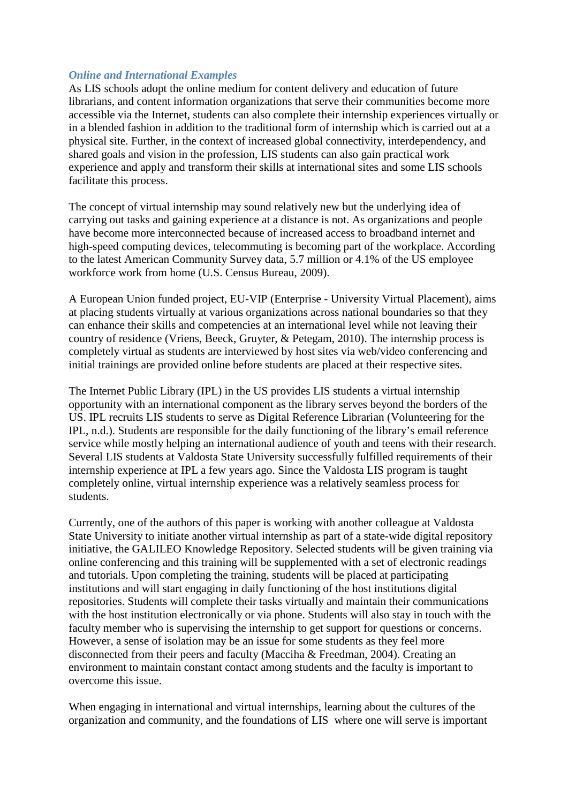### *Online and International Examples*

As LIS schools adopt the online medium for content delivery and education of future librarians, and content information organizations that serve their communities become more accessible via the Internet, students can also complete their internship experiences virtually or in a blended fashion in addition to the traditional form of internship which is carried out at a physical site. Further, in the context of increased global connectivity, interdependency, and shared goals and vision in the profession, LIS students can also gain practical work experience and apply and transform their skills at international sites and some LIS schools facilitate this process.

The concept of virtual internship may sound relatively new but the underlying idea of carrying out tasks and gaining experience at a distance is not. As organizations and people have become more interconnected because of increased access to broadband internet and high-speed computing devices, telecommuting is becoming part of the workplace. According to the latest American Community Survey data, 5.7 million or 4.1% of the US employee workforce work from home (U.S. Census Bureau, 2009).

A European Union funded project, EU-VIP (Enterprise - University Virtual Placement), aims at placing students virtually at various organizations across national boundaries so that they can enhance their skills and competencies at an international level while not leaving their country of residence (Vriens, Beeck, Gruyter, & Petegam, 2010). The internship process is completely virtual as students are interviewed by host sites via web/video conferencing and initial trainings are provided online before students are placed at their respective sites.

The Internet Public Library (IPL) in the US provides LIS students a virtual internship opportunity with an international component as the library serves beyond the borders of the US. IPL recruits LIS students to serve as Digital Reference Librarian (Volunteering for the IPL, n.d.). Students are responsible for the daily functioning of the library's email reference service while mostly helping an international audience of youth and teens with their research. Several LIS students at Valdosta State University successfully fulfilled requirements of their internship experience at IPL a few years ago. Since the Valdosta LIS program is taught completely online, virtual internship experience was a relatively seamless process for students.

Currently, one of the authors of this paper is working with another colleague at Valdosta State University to initiate another virtual internship as part of a state-wide digital repository initiative, the GALILEO Knowledge Repository. Selected students will be given training via online conferencing and this training will be supplemented with a set of electronic readings and tutorials. Upon completing the training, students will be placed at participating institutions and will start engaging in daily functioning of the host institutions digital repositories. Students will complete their tasks virtually and maintain their communications with the host institution electronically or via phone. Students will also stay in touch with the faculty member who is supervising the internship to get support for questions or concerns. However, a sense of isolation may be an issue for some students as they feel more disconnected from their peers and faculty (Macciha & Freedman, 2004). Creating an environment to maintain constant contact among students and the faculty is important to overcome this issue.

When engaging in international and virtual internships, learning about the cultures of the organization and community, and the foundations of LIS where one will serve is important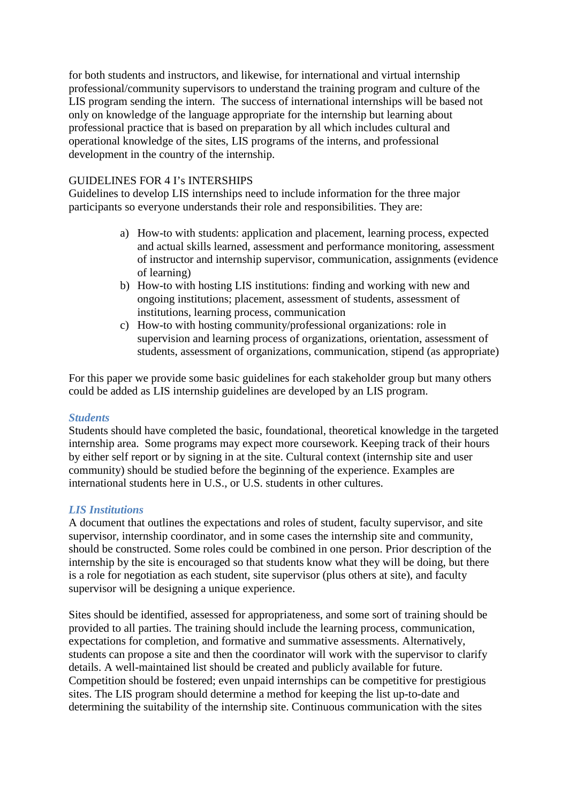for both students and instructors, and likewise, for international and virtual internship professional/community supervisors to understand the training program and culture of the LIS program sending the intern. The success of international internships will be based not only on knowledge of the language appropriate for the internship but learning about professional practice that is based on preparation by all which includes cultural and operational knowledge of the sites, LIS programs of the interns, and professional development in the country of the internship.

# GUIDELINES FOR 4 I's INTERSHIPS

Guidelines to develop LIS internships need to include information for the three major participants so everyone understands their role and responsibilities. They are:

- a) How-to with students: application and placement, learning process, expected and actual skills learned, assessment and performance monitoring, assessment of instructor and internship supervisor, communication, assignments (evidence of learning)
- b) How-to with hosting LIS institutions: finding and working with new and ongoing institutions; placement, assessment of students, assessment of institutions, learning process, communication
- c) How-to with hosting community/professional organizations: role in supervision and learning process of organizations, orientation, assessment of students, assessment of organizations, communication, stipend (as appropriate)

For this paper we provide some basic guidelines for each stakeholder group but many others could be added as LIS internship guidelines are developed by an LIS program.

# *Students*

Students should have completed the basic, foundational, theoretical knowledge in the targeted internship area. Some programs may expect more coursework. Keeping track of their hours by either self report or by signing in at the site. Cultural context (internship site and user community) should be studied before the beginning of the experience. Examples are international students here in U.S., or U.S. students in other cultures.

### *LIS Institutions*

A document that outlines the expectations and roles of student, faculty supervisor, and site supervisor, internship coordinator, and in some cases the internship site and community, should be constructed. Some roles could be combined in one person. Prior description of the internship by the site is encouraged so that students know what they will be doing, but there is a role for negotiation as each student, site supervisor (plus others at site), and faculty supervisor will be designing a unique experience.

Sites should be identified, assessed for appropriateness, and some sort of training should be provided to all parties. The training should include the learning process, communication, expectations for completion, and formative and summative assessments. Alternatively, students can propose a site and then the coordinator will work with the supervisor to clarify details. A well-maintained list should be created and publicly available for future. Competition should be fostered; even unpaid internships can be competitive for prestigious sites. The LIS program should determine a method for keeping the list up-to-date and determining the suitability of the internship site. Continuous communication with the sites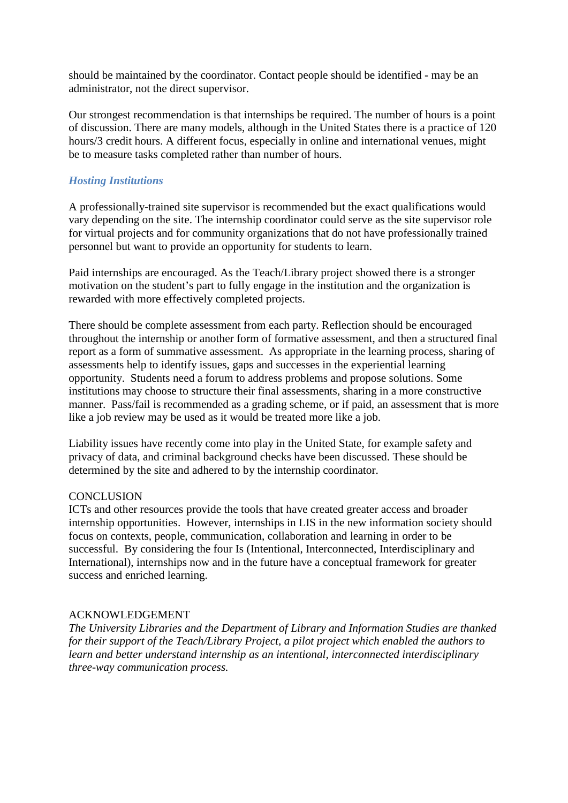should be maintained by the coordinator. Contact people should be identified - may be an administrator, not the direct supervisor.

Our strongest recommendation is that internships be required. The number of hours is a point of discussion. There are many models, although in the United States there is a practice of 120 hours/3 credit hours. A different focus, especially in online and international venues, might be to measure tasks completed rather than number of hours.

### *Hosting Institutions*

A professionally-trained site supervisor is recommended but the exact qualifications would vary depending on the site. The internship coordinator could serve as the site supervisor role for virtual projects and for community organizations that do not have professionally trained personnel but want to provide an opportunity for students to learn.

Paid internships are encouraged. As the Teach/Library project showed there is a stronger motivation on the student's part to fully engage in the institution and the organization is rewarded with more effectively completed projects.

There should be complete assessment from each party. Reflection should be encouraged throughout the internship or another form of formative assessment, and then a structured final report as a form of summative assessment. As appropriate in the learning process, sharing of assessments help to identify issues, gaps and successes in the experiential learning opportunity. Students need a forum to address problems and propose solutions. Some institutions may choose to structure their final assessments, sharing in a more constructive manner. Pass/fail is recommended as a grading scheme, or if paid, an assessment that is more like a job review may be used as it would be treated more like a job.

Liability issues have recently come into play in the United State, for example safety and privacy of data, and criminal background checks have been discussed. These should be determined by the site and adhered to by the internship coordinator.

### **CONCLUSION**

ICTs and other resources provide the tools that have created greater access and broader internship opportunities. However, internships in LIS in the new information society should focus on contexts, people, communication, collaboration and learning in order to be successful. By considering the four Is (Intentional, Interconnected, Interdisciplinary and International), internships now and in the future have a conceptual framework for greater success and enriched learning.

### ACKNOWLEDGEMENT

*The University Libraries and the Department of Library and Information Studies are thanked for their support of the Teach/Library Project, a pilot project which enabled the authors to learn and better understand internship as an intentional, interconnected interdisciplinary three-way communication process.*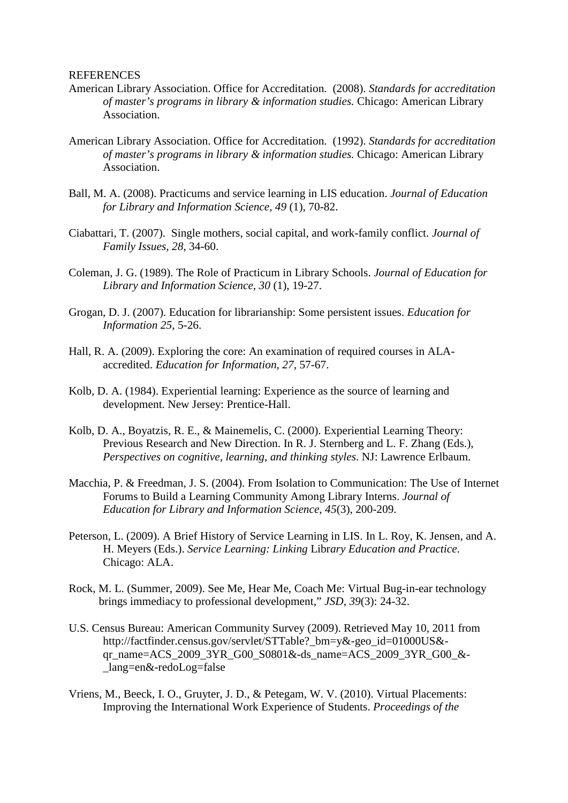#### REFERENCES

- American Library Association. Office for Accreditation. (2008). *Standards for accreditation of master's programs in library & information studies.* Chicago: American Library Association.
- American Library Association. Office for Accreditation. (1992). *Standards for accreditation of master's programs in library & information studies.* Chicago: American Library Association.
- Ball, M. A. (2008). Practicums and service learning in LIS education. *Journal of Education for Library and Information Science, 49* (1), 70-82.
- Ciabattari, T. (2007). Single mothers, social capital, and work-family conflict. *Journal of Family Issues, 28*, 34-60.
- Coleman, J. G. (1989). The Role of Practicum in Library Schools. *Journal of Education for Library and Information Science*, *30* (1), 19-27.
- Grogan, D. J. (2007). Education for librarianship: Some persistent issues. *Education for Information 25*, 5-26.
- Hall, R. A. (2009). Exploring the core: An examination of required courses in ALAaccredited. *Education for Information, 27*, 57-67.
- Kolb, D. A. (1984). Experiential learning: Experience as the source of learning and development. New Jersey: Prentice-Hall.
- Kolb, D. A., Boyatzis, R. E., & Mainemelis, C. (2000). Experiential Learning Theory: Previous Research and New Direction. In R. J. Sternberg and L. F. Zhang (Eds.), *Perspectives on cognitive, learning, and thinking styles*. NJ: Lawrence Erlbaum.
- Macchia, P. & Freedman, J. S. (2004). From Isolation to Communication: The Use of Internet Forums to Build a Learning Community Among Library Interns. *Journal of Education for Library and Information Science*, *45*(3), 200-209.
- Peterson, L. (2009). A Brief History of Service Learning in LIS. In L. Roy, K. Jensen, and A. H. Meyers (Eds.). *Service Learning: Linking* Libr*ary Education and Practice*. Chicago: ALA.
- Rock, M. L. (Summer, 2009). See Me, Hear Me, Coach Me: Virtual Bug-in-ear technology brings immediacy to professional development," *JSD*, *39*(3): 24-32.
- U.S. Census Bureau: American Community Survey (2009). Retrieved May 10, 2011 from http://factfinder.census.gov/servlet/STTable?\_bm=y&-geo\_id=01000US& qr\_name=ACS\_2009\_3YR\_G00\_S0801&-ds\_name=ACS\_2009\_3YR\_G00\_&- \_lang=en&-redoLog=false
- Vriens, M., Beeck, I. O., Gruyter, J. D., & Petegam, W. V. (2010). Virtual Placements: Improving the International Work Experience of Students. *Proceedings of the*